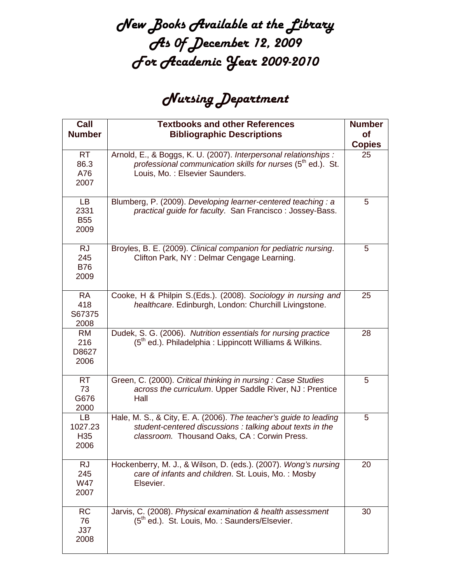## New Books Available at the Library As 0f December 12, 2009 For Academic Year 2009-2010

## Nursing Department

| Call<br><b>Number</b>                    | <b>Textbooks and other References</b><br><b>Bibliographic Descriptions</b>                                                                                                    | <b>Number</b><br><b>of</b> |
|------------------------------------------|-------------------------------------------------------------------------------------------------------------------------------------------------------------------------------|----------------------------|
|                                          |                                                                                                                                                                               | <b>Copies</b>              |
| RT<br>86.3<br>A76<br>2007                | Arnold, E., & Boggs, K. U. (2007). Interpersonal relationships :<br>professional communication skills for nurses (5 <sup>th</sup> ed.). St.<br>Louis, Mo.: Elsevier Saunders. | 25                         |
| <b>LB</b><br>2331<br><b>B55</b><br>2009  | Blumberg, P. (2009). Developing learner-centered teaching: a<br>practical guide for faculty. San Francisco: Jossey-Bass.                                                      | 5                          |
| <b>RJ</b><br>245<br><b>B76</b><br>2009   | Broyles, B. E. (2009). Clinical companion for pediatric nursing.<br>Clifton Park, NY: Delmar Cengage Learning.                                                                | 5                          |
| <b>RA</b><br>418<br>S67375<br>2008       | Cooke, H & Philpin S.(Eds.). (2008). Sociology in nursing and<br>healthcare. Edinburgh, London: Churchill Livingstone.                                                        | 25                         |
| RM.<br>216<br>D8627<br>2006              | Dudek, S. G. (2006). Nutrition essentials for nursing practice<br>$(5th$ ed.). Philadelphia : Lippincott Williams & Wilkins.                                                  | 28                         |
| <b>RT</b><br>73<br>G676<br>2000          | Green, C. (2000). Critical thinking in nursing: Case Studies<br>across the curriculum. Upper Saddle River, NJ: Prentice<br>Hall                                               | 5                          |
| LB<br>1027.23<br>H <sub>35</sub><br>2006 | Hale, M. S., & City, E. A. (2006). The teacher's guide to leading<br>student-centered discussions: talking about texts in the<br>classroom. Thousand Oaks, CA: Corwin Press.  | 5                          |
| <b>RJ</b><br>245<br>W47<br>2007          | Hockenberry, M. J., & Wilson, D. (eds.). (2007). Wong's nursing<br>care of infants and children. St. Louis, Mo.: Mosby<br>Elsevier.                                           | 20                         |
| <b>RC</b><br>76<br>J37<br>2008           | Jarvis, C. (2008). Physical examination & health assessment<br>(5 <sup>th</sup> ed.). St. Louis, Mo.: Saunders/Elsevier.                                                      | 30                         |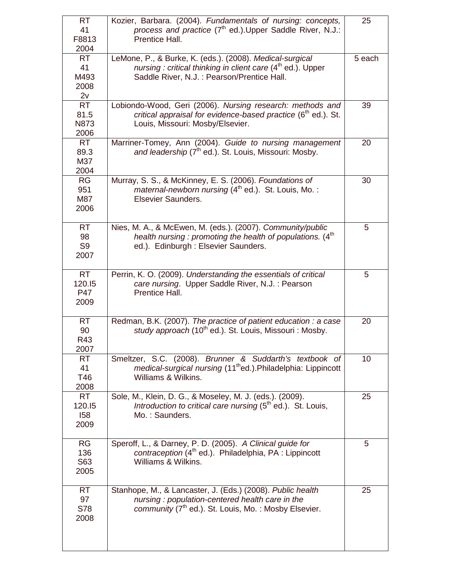| <b>RT</b><br>41<br>F8813<br>2004          | Kozier, Barbara. (2004). Fundamentals of nursing: concepts,<br>process and practice (7 <sup>th</sup> ed.). Upper Saddle River, N.J.:<br>Prentice Hall.                             | 25     |
|-------------------------------------------|------------------------------------------------------------------------------------------------------------------------------------------------------------------------------------|--------|
| <b>RT</b><br>41<br>M493<br>2008<br>2v     | LeMone, P., & Burke, K. (eds.). (2008). Medical-surgical<br>nursing : critical thinking in client care (4 <sup>th</sup> ed.). Upper<br>Saddle River, N.J. : Pearson/Prentice Hall. | 5 each |
| <b>RT</b><br>81.5<br><b>N873</b><br>2006  | Lobiondo-Wood, Geri (2006). Nursing research: methods and<br>critical appraisal for evidence-based practice (6 <sup>th</sup> ed.). St.<br>Louis, Missouri: Mosby/Elsevier.         | 39     |
| <b>RT</b><br>89.3<br>M37<br>2004          | Marriner-Tomey, Ann (2004). Guide to nursing management<br>and leadership (7 <sup>th</sup> ed.). St. Louis, Missouri: Mosby.                                                       | 20     |
| <b>RG</b><br>951<br>M87<br>2006           | Murray, S. S., & McKinney, E. S. (2006). Foundations of<br>maternal-newborn nursing $(4th$ ed.). St. Louis, Mo.:<br><b>Elsevier Saunders.</b>                                      | 30     |
| <b>RT</b><br>98<br>S <sub>9</sub><br>2007 | Nies, M. A., & McEwen, M. (eds.). (2007). Community/public<br>health nursing : promoting the health of populations. (4 <sup>th</sup><br>ed.). Edinburgh : Elsevier Saunders.       | 5      |
| <b>RT</b><br>120.15<br>P47<br>2009        | Perrin, K. O. (2009). Understanding the essentials of critical<br>care nursing. Upper Saddle River, N.J.: Pearson<br>Prentice Hall.                                                | 5      |
| <b>RT</b><br>90<br>R43<br>2007            | Redman, B.K. (2007). The practice of patient education : a case<br>study approach (10 <sup>th</sup> ed.). St. Louis, Missouri: Mosby.                                              | 20     |
| <b>RT</b><br>41<br>T46<br>2008            | Smeltzer, S.C. (2008). Brunner & Suddarth's textbook of<br>medical-surgical nursing (11 <sup>th</sup> ed.).Philadelphia: Lippincott<br>Williams & Wilkins.                         | 10     |
| <b>RT</b><br>120.15<br>158<br>2009        | Sole, M., Klein, D. G., & Moseley, M. J. (eds.). (2009).<br>Introduction to critical care nursing $(5th$ ed.). St. Louis,<br>Mo.: Saunders.                                        | 25     |
| <b>RG</b><br>136<br>S63<br>2005           | Speroff, L., & Darney, P. D. (2005). A Clinical guide for<br>contraception (4 <sup>th</sup> ed.). Philadelphia, PA : Lippincott<br>Williams & Wilkins.                             | 5      |
| <b>RT</b><br>97<br><b>S78</b><br>2008     | Stanhope, M., & Lancaster, J. (Eds.) (2008). Public health<br>nursing: population-centered health care in the<br>community (7 <sup>th</sup> ed.). St. Louis, Mo.: Mosby Elsevier.  | 25     |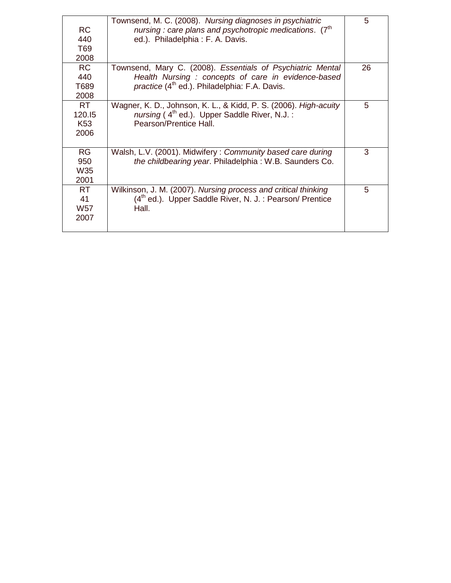| <b>RC</b><br>440<br>T69                        | Townsend, M. C. (2008). Nursing diagnoses in psychiatric<br>nursing: care plans and psychotropic medications. (7 <sup>th</sup> )<br>ed.). Philadelphia: F. A. Davis.    | 5  |
|------------------------------------------------|-------------------------------------------------------------------------------------------------------------------------------------------------------------------------|----|
| 2008                                           |                                                                                                                                                                         |    |
| <b>RC</b><br>440<br>T689<br>2008               | Townsend, Mary C. (2008). Essentials of Psychiatric Mental<br>Health Nursing : concepts of care in evidence-based<br>practice $(4^{th}$ ed.). Philadelphia: F.A. Davis. | 26 |
| <b>RT</b><br>120.15<br>K <sub>53</sub><br>2006 | Wagner, K. D., Johnson, K. L., & Kidd, P. S. (2006). <i>High-acuity</i><br>nursing ( $4th$ ed.). Upper Saddle River, N.J.:<br>Pearson/Prentice Hall.                    | 5  |
| <b>RG</b><br>950<br><b>W35</b><br>2001         | Walsh, L.V. (2001). Midwifery: Community based care during<br>the childbearing year. Philadelphia: W.B. Saunders Co.                                                    | 3  |
| <b>RT</b><br>41<br><b>W57</b><br>2007          | Wilkinson, J. M. (2007). Nursing process and critical thinking<br>(4 <sup>th</sup> ed.). Upper Saddle River, N. J. : Pearson/ Prentice<br>Hall.                         | 5  |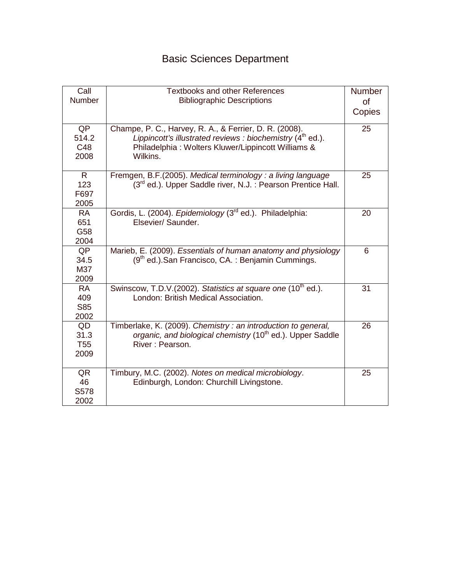## Basic Sciences Department

| Call<br><b>Number</b>                  | <b>Textbooks and other References</b><br><b>Bibliographic Descriptions</b>                                                                                                               | Number<br><b>of</b><br>Copies |
|----------------------------------------|------------------------------------------------------------------------------------------------------------------------------------------------------------------------------------------|-------------------------------|
| QP<br>514.2<br>C48<br>2008             | Champe, P. C., Harvey, R. A., & Ferrier, D. R. (2008).<br>Lippincott's illustrated reviews : biochemistry $(4th$ ed.).<br>Philadelphia: Wolters Kluwer/Lippincott Williams &<br>Wilkins. | 25                            |
| $\mathsf{R}$<br>123<br>F697<br>2005    | Fremgen, B.F.(2005). Medical terminology : a living language<br>$(3rd$ ed.). Upper Saddle river, N.J. : Pearson Prentice Hall.                                                           | 25                            |
| <b>RA</b><br>651<br>G58<br>2004        | Gordis, L. (2004). Epidemiology (3 <sup>rd</sup> ed.). Philadelphia:<br>Elsevier/ Saunder.                                                                                               | 20                            |
| QP<br>34.5<br>M37<br>2009              | Marieb, E. (2009). Essentials of human anatomy and physiology<br>$(9th$ ed.). San Francisco, CA.: Benjamin Cummings.                                                                     | 6                             |
| <b>RA</b><br>409<br><b>S85</b><br>2002 | Swinscow, T.D.V.(2002). Statistics at square one (10 <sup>th</sup> ed.).<br>London: British Medical Association.                                                                         | 31                            |
| QD<br>31.3<br>T <sub>55</sub><br>2009  | Timberlake, K. (2009). Chemistry: an introduction to general,<br>organic, and biological chemistry (10 <sup>th</sup> ed.). Upper Saddle<br>River: Pearson.                               | 26                            |
| QR<br>46<br>S578<br>2002               | Timbury, M.C. (2002). Notes on medical microbiology.<br>Edinburgh, London: Churchill Livingstone.                                                                                        | 25                            |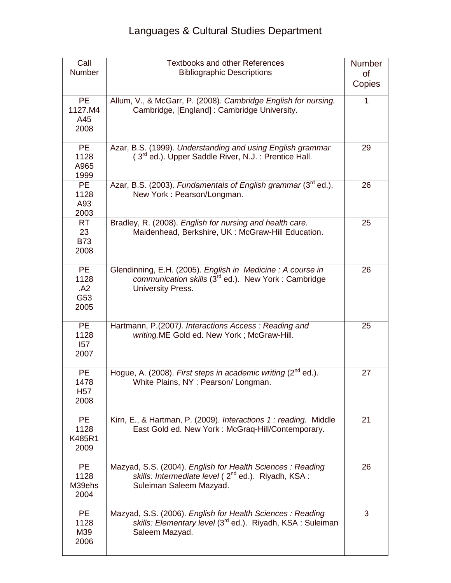| Call<br>Number                          | <b>Textbooks and other References</b><br><b>Bibliographic Descriptions</b>                                                                             | Number<br>of<br>Copies |
|-----------------------------------------|--------------------------------------------------------------------------------------------------------------------------------------------------------|------------------------|
| <b>PE</b><br>1127.M4<br>A45<br>2008     | Allum, V., & McGarr, P. (2008). Cambridge English for nursing.<br>Cambridge, [England]: Cambridge University.                                          | 1                      |
| <b>PE</b><br>1128<br>A965<br>1999       | Azar, B.S. (1999). Understanding and using English grammar<br>$(3rd$ ed.). Upper Saddle River, N.J. : Prentice Hall.                                   | 29                     |
| <b>PE</b><br>1128<br>A93<br>2003        | Azar, B.S. (2003). Fundamentals of English grammar (3rd ed.).<br>New York: Pearson/Longman.                                                            | 26                     |
| RT<br>23<br><b>B73</b><br>2008          | Bradley, R. (2008). English for nursing and health care.<br>Maidenhead, Berkshire, UK: McGraw-Hill Education.                                          | 25                     |
| <b>PE</b><br>1128<br>.A2<br>G53<br>2005 | Glendinning, E.H. (2005). English in Medicine: A course in<br>communication skills (3 <sup>rd</sup> ed.). New York: Cambridge<br>University Press.     | 26                     |
| <b>PE</b><br>1128<br>157<br>2007        | Hartmann, P.(2007). Interactions Access: Reading and<br>writing.ME Gold ed. New York; McGraw-Hill.                                                     | 25                     |
| <b>PE</b><br>1478<br><b>H57</b><br>2008 | Hogue, A. (2008). First steps in academic writing $(2^{nd}$ ed.).<br>White Plains, NY : Pearson/ Longman.                                              | 27                     |
| <b>PE</b><br>1128<br>K485R1<br>2009     | Kirn, E., & Hartman, P. (2009). Interactions 1: reading. Middle<br>East Gold ed. New York: McGraq-Hill/Contemporary.                                   | 21                     |
| <b>PE</b><br>1128<br>M39ehs<br>2004     | Mazyad, S.S. (2004). English for Health Sciences: Reading<br>skills: Intermediate level (2 <sup>nd</sup> ed.). Riyadh, KSA:<br>Suleiman Saleem Mazyad. | 26                     |
| <b>PE</b><br>1128<br>M39<br>2006        | Mazyad, S.S. (2006). English for Health Sciences: Reading<br>skills: Elementary level (3 <sup>rd</sup> ed.). Riyadh, KSA : Suleiman<br>Saleem Mazyad.  | 3                      |